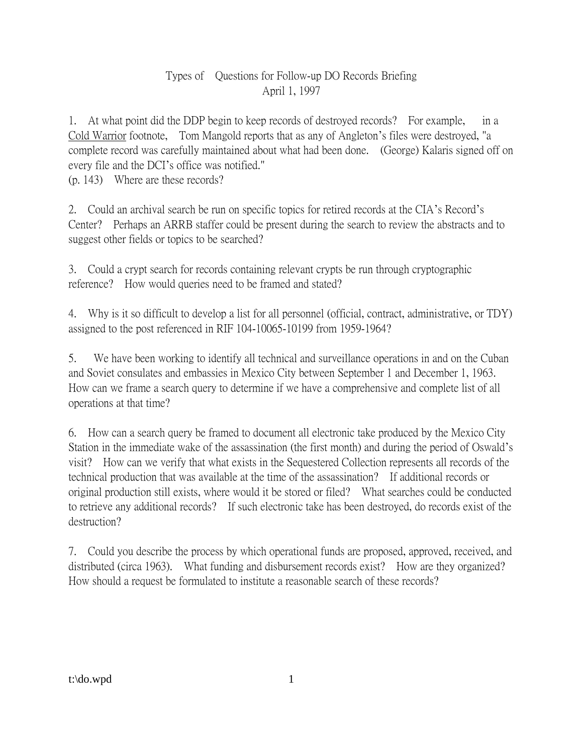## Types of Questions for Follow-up DO Records Briefing April 1, 1997

1. At what point did the DDP begin to keep records of destroyed records? For example, in a Cold Warrior footnote, Tom Mangold reports that as any of Angleton's files were destroyed, "a complete record was carefully maintained about what had been done. (George) Kalaris signed off on every file and the DCI's office was notified."

(p. 143) Where are these records?

2. Could an archival search be run on specific topics for retired records at the CIA's Record's Center? Perhaps an ARRB staffer could be present during the search to review the abstracts and to suggest other fields or topics to be searched?

3. Could a crypt search for records containing relevant crypts be run through cryptographic reference? How would queries need to be framed and stated?

4. Why is it so difficult to develop a list for all personnel (official, contract, administrative, or TDY) assigned to the post referenced in RIF 104-10065-10199 from 1959-1964?

5. We have been working to identify all technical and surveillance operations in and on the Cuban and Soviet consulates and embassies in Mexico City between September 1 and December 1, 1963. How can we frame a search query to determine if we have a comprehensive and complete list of all operations at that time?

6. How can a search query be framed to document all electronic take produced by the Mexico City Station in the immediate wake of the assassination (the first month) and during the period of Oswald's visit? How can we verify that what exists in the Sequestered Collection represents all records of the technical production that was available at the time of the assassination? If additional records or original production still exists, where would it be stored or filed? What searches could be conducted to retrieve any additional records? If such electronic take has been destroyed, do records exist of the destruction?

7. Could you describe the process by which operational funds are proposed, approved, received, and distributed (circa 1963). What funding and disbursement records exist? How are they organized? How should a request be formulated to institute a reasonable search of these records?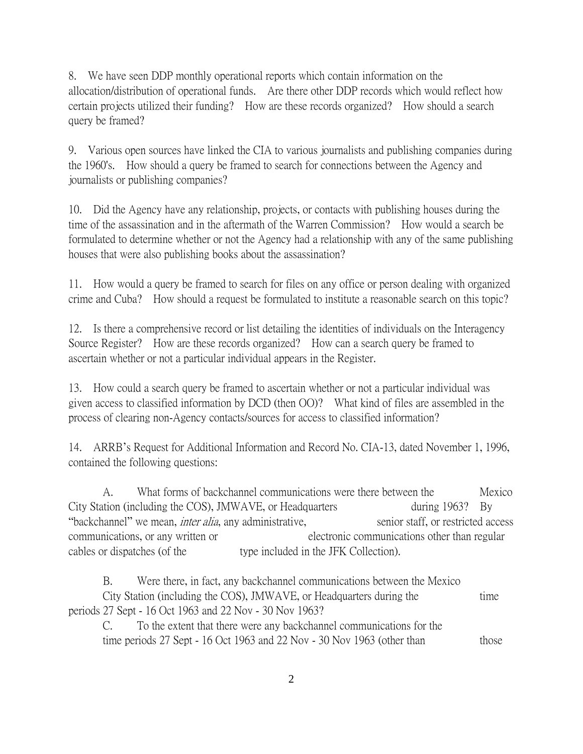8. We have seen DDP monthly operational reports which contain information on the allocation/distribution of operational funds. Are there other DDP records which would reflect how certain projects utilized their funding? How are these records organized? How should a search query be framed?

9. Various open sources have linked the CIA to various journalists and publishing companies during the 1960's. How should a query be framed to search for connections between the Agency and journalists or publishing companies?

10. Did the Agency have any relationship, projects, or contacts with publishing houses during the time of the assassination and in the aftermath of the Warren Commission? How would a search be formulated to determine whether or not the Agency had a relationship with any of the same publishing houses that were also publishing books about the assassination?

11. How would a query be framed to search for files on any office or person dealing with organized crime and Cuba? How should a request be formulated to institute a reasonable search on this topic?

12. Is there a comprehensive record or list detailing the identities of individuals on the Interagency Source Register? How are these records organized? How can a search query be framed to ascertain whether or not a particular individual appears in the Register.

13. How could a search query be framed to ascertain whether or not a particular individual was given access to classified information by DCD (then OO)? What kind of files are assembled in the process of clearing non-Agency contacts/sources for access to classified information?

14. ARRB's Request for Additional Information and Record No. CIA-13, dated November 1, 1996, contained the following questions:

A. What forms of backchannel communications were there between the Mexico City Station (including the COS), JMWAVE, or Headquarters during 1963? By "backchannel" we mean, *inter alia*, any administrative, senior staff, or restricted access communications, or any written or electronic communications other than regular cables or dispatches (of the type included in the JFK Collection).

B. Were there, in fact, any backchannel communications between the Mexico City Station (including the COS), JMWAVE, or Headquarters during the time periods 27 Sept - 16 Oct 1963 and 22 Nov - 30 Nov 1963?

C. To the extent that there were any backchannel communications for the time periods 27 Sept - 16 Oct 1963 and 22 Nov - 30 Nov 1963 (other than those